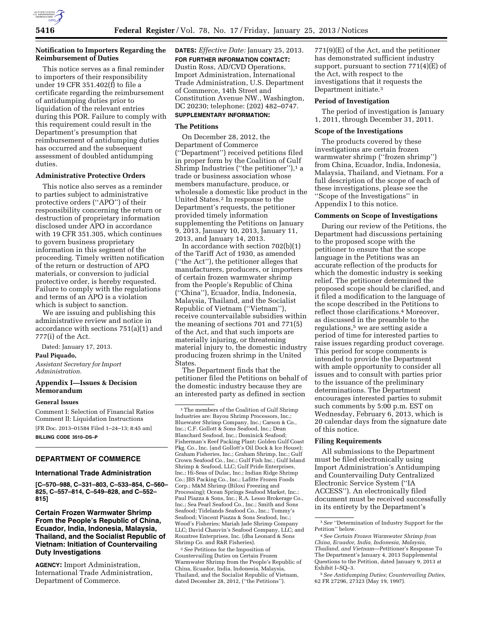### **Notification to Importers Regarding the Reimbursement of Duties**

This notice serves as a final reminder to importers of their responsibility under 19 CFR 351.402(f) to file a certificate regarding the reimbursement of antidumping duties prior to liquidation of the relevant entries during this POR. Failure to comply with this requirement could result in the Department's presumption that reimbursement of antidumping duties has occurred and the subsequent assessment of doubled antidumping duties.

#### **Administrative Protective Orders**

This notice also serves as a reminder to parties subject to administrative protective orders (''APO'') of their responsibility concerning the return or destruction of proprietary information disclosed under APO in accordance with 19 CFR 351.305, which continues to govern business proprietary information in this segment of the proceeding. Timely written notification of the return or destruction of APO materials, or conversion to judicial protective order, is hereby requested. Failure to comply with the regulations and terms of an APO is a violation which is subject to sanction.

We are issuing and publishing this administrative review and notice in accordance with sections 751(a)(1) and 777(i) of the Act.

Dated: January 17, 2013.

### **Paul Piquado,**

*Assistant Secretary for Import Administration.* 

# **Appendix I—Issues & Decision Memorandum**

### **General Issues**

Comment I: Selection of Financial Ratios Comment II: Liquidation Instructions

[FR Doc. 2013–01584 Filed 1–24–13; 8:45 am] **BILLING CODE 3510–DS–P** 

#### **DEPARTMENT OF COMMERCE**

# **International Trade Administration**

**[C–570–988, C–331–803, C–533–854, C–560– 825, C–557–814, C–549–828, and C–552– 815]** 

### **Certain Frozen Warmwater Shrimp From the People's Republic of China, Ecuador, India, Indonesia, Malaysia, Thailand, and the Socialist Republic of Vietnam: Initiation of Countervailing Duty Investigations**

**AGENCY:** Import Administration, International Trade Administration, Department of Commerce.

**DATES:** *Effective Date:* January 25, 2013. **FOR FURTHER INFORMATION CONTACT:**  Dustin Ross, AD/CVD Operations, Import Administration, International Trade Administration, U.S. Department of Commerce, 14th Street and Constitution Avenue NW., Washington, DC 20230; telephone: (202) 482–0747.

# **SUPPLEMENTARY INFORMATION:**

# **The Petitions**

On December 28, 2012, the Department of Commerce (''Department'') received petitions filed in proper form by the Coalition of Gulf Shrimp Industries ("the petitioner"),<sup>1</sup> a trade or business association whose members manufacture, produce, or wholesale a domestic like product in the United States.2 In response to the Department's requests, the petitioner provided timely information supplementing the Petitions on January 9, 2013, January 10, 2013, January 11, 2013, and January 14, 2013.

In accordance with section 702(b)(1) of the Tariff Act of 1930, as amended (''the Act''), the petitioner alleges that manufacturers, producers, or importers of certain frozen warmwater shrimp from the People's Republic of China (''China''), Ecuador, India, Indonesia, Malaysia, Thailand, and the Socialist Republic of Vietnam (''Vietnam''), receive countervailable subsidies within the meaning of sections 701 and 771(5) of the Act, and that such imports are materially injuring, or threatening material injury to, the domestic industry producing frozen shrimp in the United States.

The Department finds that the petitioner filed the Petitions on behalf of the domestic industry because they are an interested party as defined in section

2*See* Petitions for the Imposition of Countervailing Duties on Certain Frozen Warmwater Shrimp from the People's Republic of China, Ecuador, India, Indonesia, Malaysia, Thailand, and the Socialist Republic of Vietnam, dated December 28, 2012, (''the Petitions'').

771(9)(E) of the Act, and the petitioner has demonstrated sufficient industry support, pursuant to section 771(4)(E) of the Act, with respect to the investigations that it requests the Department initiate.3

#### **Period of Investigation**

The period of investigation is January 1, 2011, through December 31, 2011.

#### **Scope of the Investigations**

The products covered by these investigations are certain frozen warmwater shrimp (''frozen shrimp'') from China, Ecuador, India, Indonesia, Malaysia, Thailand, and Vietnam. For a full description of the scope of each of these investigations, please see the ''Scope of the Investigations'' in Appendix I to this notice.

#### **Comments on Scope of Investigations**

During our review of the Petitions, the Department had discussions pertaining to the proposed scope with the petitioner to ensure that the scope language in the Petitions was an accurate reflection of the products for which the domestic industry is seeking relief. The petitioner determined the proposed scope should be clarified, and it filed a modification to the language of the scope described in the Petitions to reflect those clarifications.<sup>4</sup> Moreover, as discussed in the preamble to the regulations,<sup>5</sup> we are setting aside a period of time for interested parties to raise issues regarding product coverage. This period for scope comments is intended to provide the Department with ample opportunity to consider all issues and to consult with parties prior to the issuance of the preliminary determinations. The Department encourages interested parties to submit such comments by 5:00 p.m. EST on Wednesday, February 6, 2013, which is 20 calendar days from the signature date of this notice.

### **Filing Requirements**

All submissions to the Department must be filed electronically using Import Administration's Antidumping and Countervailing Duty Centralized Electronic Service System (''IA ACCESS''). An electronically filed document must be received successfully in its entirety by the Department's

5*See Antidumping Duties; Countervailing Duties,*  62 FR 27296, 27323 (May 19, 1997).

<sup>&</sup>lt;sup>1</sup>The members of the Coalition of Gulf Shrimp Industries are: Bayou Shrimp Processors, Inc.; Bluewater Shrimp Company, Inc.; Carson & Co., Inc.; C.F. Gollott & Sons Seafood, Inc.; Dean Blanchard Seafood, Inc.; Dominick Seafood; Fisherman's Reef Packing Plant; Golden Gulf Coast Pkg. Co., Inc. (and Gollott's Oil Dock & Ice House); Graham Fisheries, Inc.; Graham Shrimp, Inc.; Gulf Crown Seafood Co., Inc.; Gulf Fish Inc.; Gulf Island Shrimp & Seafood, LLC; Gulf Pride Enterprises, Inc.; Hi-Seas of Dulac, Inc.; Indian Ridge Shrimp Co.; JBS Packing Co., Inc.; Lafitte Frozen Foods Corp.; M&M Shrimp (Biloxi Freezing and Processing); Ocean Springs Seafood Market, Inc.; Paul Piazza & Sons, Inc.; R.A. Lesso Brokerage Co., Inc.; Sea Pearl Seafood Co., Inc.; Smith and Sons Seafood; Tidelands Seafood Co., Inc.; Tommy's Seafood: Vincent Piazza & Sons Seafood, Inc. Wood's Fisheries; Mariah Jade Shrimp Company LLC; David Chauvin's Seafood Company, LLC; and Rountree Enterprises, Inc. (dba Leonard & Sons Shrimp Co. and R&R Fisheries).

<sup>3</sup>*See* ''Determination of Industry Support for the Petition'' below.

<sup>4</sup>*See Certain Frozen Warmwater Shrimp from China, Ecuador, India, Indonesia, Malaysia, Thailand, and Vietnam*—Petitioner's Response To The Department's January 4, 2013 Supplemental Questions to the Petition, dated January 9, 2013 at Exhibit I–SQ–3.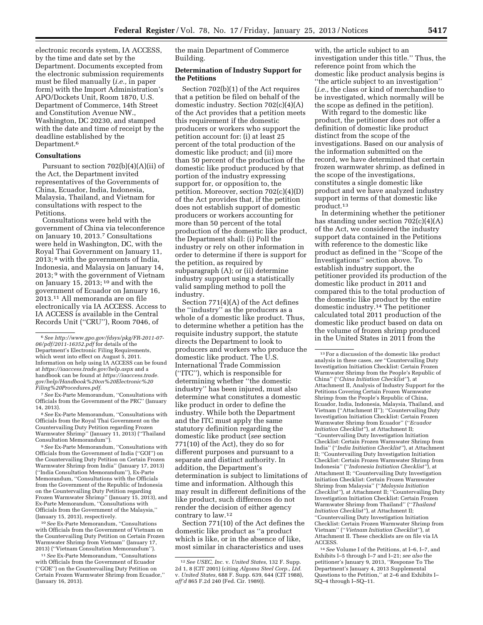electronic records system, IA ACCESS, by the time and date set by the Department. Documents excepted from the electronic submission requirements must be filed manually (*i.e.,* in paper form) with the Import Administration's APO/Dockets Unit, Room 1870, U.S. Department of Commerce, 14th Street and Constitution Avenue NW., Washington, DC 20230, and stamped with the date and time of receipt by the deadline established by the Department.6

#### **Consultations**

Pursuant to section  $702(b)(4)(A)(ii)$  of the Act, the Department invited representatives of the Governments of China, Ecuador, India, Indonesia, Malaysia, Thailand, and Vietnam for consultations with respect to the Petitions.

Consultations were held with the government of China via teleconference on January 10, 2013.7 Consultations were held in Washington, DC, with the Royal Thai Government on January 11, 2013; 8 with the governments of India, Indonesia, and Malaysia on January 14, 2013; 9 with the government of Vietnam on January 15, 2013; 10 and with the government of Ecuador on January 16, 2013.11 All memoranda are on file electronically via IA ACCESS. Access to IA ACCESS is available in the Central Records Unit (''CRU''), Room 7046, of

7*See* Ex-Parte Memorandum, ''Consultations with Officials from the Government of the PRC'' (January 14, 2013).

8*See* Ex-Parte Memorandum, ''Consultations with Officials from the Royal Thai Government on the Countervailing Duty Petition regarding Frozen Warmwater Shrimp'' (January 11, 2013) (''Thailand Consultation Memorandum'').

9*See* Ex-Parte Memorandum, ''Consultations with Officials from the Government of India (''GOI'') on the Countervailing Duty Petition on Certain Frozen Warmwater Shrimp from India'' (January 17, 2013) (''India Consultation Memorandum''), Ex-Parte Memorandum, ''Consultations with the Officials from the Government of the Republic of Indonesia on the Countervailing Duty Petition regarding Frozen Warmwater Shrimp'' (January 15, 2013), and Ex-Parte Memorandum, ''Consultations with Officials from the Government of the Malaysia,'' (January 15, 2013), respectively.

10*See* Ex-Parte Memorandum, ''Consultations with Officials from the Government of Vietnam on the Countervailing Duty Petition on Certain Frozen Warmwater Shrimp from Vietnam'' (January 17, 2013) (''Vietnam Consultation Memorandum'').

the main Department of Commerce Building.

### **Determination of Industry Support for the Petitions**

Section 702(b)(1) of the Act requires that a petition be filed on behalf of the domestic industry. Section 702(c)(4)(A) of the Act provides that a petition meets this requirement if the domestic producers or workers who support the petition account for: (i) at least 25 percent of the total production of the domestic like product; and (ii) more than 50 percent of the production of the domestic like product produced by that portion of the industry expressing support for, or opposition to, the petition. Moreover, section 702(c)(4)(D) of the Act provides that, if the petition does not establish support of domestic producers or workers accounting for more than 50 percent of the total production of the domestic like product, the Department shall: (i) Poll the industry or rely on other information in order to determine if there is support for the petition, as required by subparagraph (A); or (ii) determine industry support using a statistically valid sampling method to poll the industry.

Section 771(4)(A) of the Act defines the ''industry'' as the producers as a whole of a domestic like product. Thus, to determine whether a petition has the requisite industry support, the statute directs the Department to look to producers and workers who produce the domestic like product. The U.S. International Trade Commission (''ITC''), which is responsible for determining whether ''the domestic industry'' has been injured, must also determine what constitutes a domestic like product in order to define the industry. While both the Department and the ITC must apply the same statutory definition regarding the domestic like product (*see* section 771(10) of the Act), they do so for different purposes and pursuant to a separate and distinct authority. In addition, the Department's determination is subject to limitations of time and information. Although this may result in different definitions of the like product, such differences do not render the decision of either agency contrary to law.12

Section 771(10) of the Act defines the domestic like product as ''a product which is like, or in the absence of like, most similar in characteristics and uses

with, the article subject to an investigation under this title.'' Thus, the reference point from which the domestic like product analysis begins is ''the article subject to an investigation'' (*i.e.,* the class or kind of merchandise to be investigated, which normally will be the scope as defined in the petition).

With regard to the domestic like product, the petitioner does not offer a definition of domestic like product distinct from the scope of the investigations. Based on our analysis of the information submitted on the record, we have determined that certain frozen warmwater shrimp, as defined in the scope of the investigations, constitutes a single domestic like product and we have analyzed industry support in terms of that domestic like product.13

In determining whether the petitioner has standing under section 702(c)(4)(A) of the Act, we considered the industry support data contained in the Petitions with reference to the domestic like product as defined in the ''Scope of the Investigations'' section above. To establish industry support, the petitioner provided its production of the domestic like product in 2011 and compared this to the total production of the domestic like product by the entire domestic industry.14 The petitioner calculated total 2011 production of the domestic like product based on data on the volume of frozen shrimp produced in the United States in 2011 from the

<sup>6</sup>*See [http://www.gpo.gov/fdsys/pkg/FR-2011-07-](http://www.gpo.gov/fdsys/pkg/FR-2011-07-06/pdf/2011-16352.pdf) [06/pdf/2011-16352.pdf](http://www.gpo.gov/fdsys/pkg/FR-2011-07-06/pdf/2011-16352.pdf)* for details of the Department's Electronic Filing Requirements, which went into effect on August 5, 2011. Information on help using IA ACCESS can be found at *<https://iaaccess.trade.gov/help.aspx>* and a handbook can be found at *[https://iaaccess.trade.](https://iaaccess.trade.gov/help/Handbook%20on%20Electronic%20Filing%20Procedures.pdf) [gov/help/Handbook%20on%20Electronic%20](https://iaaccess.trade.gov/help/Handbook%20on%20Electronic%20Filing%20Procedures.pdf) [Filing%20Procedures.pdf.](https://iaaccess.trade.gov/help/Handbook%20on%20Electronic%20Filing%20Procedures.pdf)* 

<sup>11</sup>*See* Ex-Parte Memorandum, ''Consultations with Officials from the Government of Ecuador (''GOE'') on the Countervailing Duty Petition on Certain Frozen Warmwater Shrimp from Ecuador,'' (January 16, 2013).

<sup>12</sup>*See USEC, Inc.* v. *United States,* 132 F. Supp. 2d 1, 8 (CIT 2001) (citing *Algoma Steel Corp., Ltd.*  v. *United States,* 688 F. Supp. 639, 644 (CIT 1988), *aff'd* 865 F.2d 240 (Fed. Cir. 1989)).

<sup>13</sup>For a discussion of the domestic like product analysis in these cases, *see* ''Countervailing Duty Investigation Initiation Checklist: Certain Frozen Warmwater Shrimp from the People's Republic of China'' (''*China Initiation Checklist''*), at Attachment II, Analysis of Industry Support for the Petitions Covering Certain Frozen Warmwater Shrimp from the People's Republic of China, Ecuador, India, Indonesia, Malaysia, Thailand, and Vietnam (''Attachment II''); ''Countervailing Duty Investigation Initiation Checklist: Certain Frozen Warmwater Shrimp from Ecuador'' (''*Ecuador Initiation Checklist''*), at Attachment II; ''Countervailing Duty Investigation Initiation Checklist: Certain Frozen Warmwater Shrimp from India'' (''*India Initiation Checklist''*), at Attachment II; ''Countervailing Duty Investigation Initiation Checklist: Certain Frozen Warmwater Shrimp from Indonesia'' (''*Indonesia Initiation Checklist''*), at Attachment II; ''Countervailing Duty Investigation Initiation Checklist: Certain Frozen Warmwater Shrimp from Malaysia'' (''*Malaysia Initiation Checklist''*), at Attachment II; ''Countervailing Duty Investigation Initiation Checklist: Certain Frozen Warmwater Shrimp from Thailand'' (''*Thailand Initiation Checklist''*), at Attachment II; ''Countervailing Duty Investigation Initiation Checklist: Certain Frozen Warmwater Shrimp from Vietnam'' (''*Vietnam Initiation Checklist''*), at Attachment II. These checklists are on file via IA ACCESS.

<sup>14</sup>*See* Volume I of the Petitions, at I–6, I–7, and Exhibits I–5 through I–7 and I–21; *see also* the petitioner's January 9, 2013, ''Response To The Department's January 4, 2013 Supplemental Questions to the Petition,'' at 2–6 and Exhibits I– SQ–4 through I–SQ–11.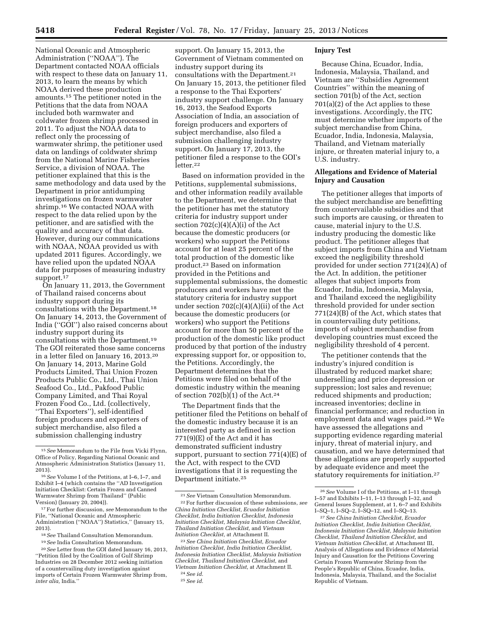National Oceanic and Atmospheric Administration (''NOAA''). The Department contacted NOAA officials with respect to these data on January 11, 2013, to learn the means by which NOAA derived these production amounts.15 The petitioner noted in the Petitions that the data from NOAA included both warmwater and coldwater frozen shrimp processed in 2011. To adjust the NOAA data to reflect only the processing of warmwater shrimp, the petitioner used data on landings of coldwater shrimp from the National Marine Fisheries Service, a division of NOAA. The petitioner explained that this is the same methodology and data used by the Department in prior antidumping investigations on frozen warmwater shrimp.<sup>16</sup> We contacted NOAA with respect to the data relied upon by the petitioner, and are satisfied with the quality and accuracy of that data. However, during our communications with NOAA, NOAA provided us with updated 2011 figures. Accordingly, we have relied upon the updated NOAA data for purposes of measuring industry support.<sup>17</sup>

On January 11, 2013, the Government of Thailand raised concerns about industry support during its consultations with the Department.18 On January 14, 2013, the Government of India (''GOI'') also raised concerns about industry support during its consultations with the Department.19 The GOI reiterated those same concerns in a letter filed on January 16, 2013.20 On January 14, 2013, Marine Gold Products Limited, Thai Union Frozen Products Public Co., Ltd., Thai Union Seafood Co., Ltd., Pakfood Public Company Limited, and Thai Royal Frozen Food Co., Ltd. (collectively, ''Thai Exporters''), self-identified foreign producers and exporters of subject merchandise, also filed a submission challenging industry

20*See* Letter from the GOI dated January 16, 2013, ''Petition filed by the Coalition of Gulf Shrimp Industries on 28 December 2012 seeking initiation of a countervailing duty investigation against imports of Certain Frozen Warmwater Shrimp from, *inter alia,* India.''

support. On January 15, 2013, the Government of Vietnam commented on industry support during its consultations with the Department.21 On January 15, 2013, the petitioner filed a response to the Thai Exporters' industry support challenge. On January 16, 2013, the Seafood Exports Association of India, an association of foreign producers and exporters of subject merchandise, also filed a submission challenging industry support. On January 17, 2013, the petitioner filed a response to the GOI's letter.22

Based on information provided in the Petitions, supplemental submissions, and other information readily available to the Department, we determine that the petitioner has met the statutory criteria for industry support under section  $702(c)(4)(A)(i)$  of the Act because the domestic producers (or workers) who support the Petitions account for at least 25 percent of the total production of the domestic like product.23 Based on information provided in the Petitions and supplemental submissions, the domestic producers and workers have met the statutory criteria for industry support under section 702(c)(4)(A)(ii) of the Act because the domestic producers (or workers) who support the Petitions account for more than 50 percent of the production of the domestic like product produced by that portion of the industry expressing support for, or opposition to, the Petitions. Accordingly, the Department determines that the Petitions were filed on behalf of the domestic industry within the meaning of section  $702(b)(1)$  of the Act.<sup>24</sup>

The Department finds that the petitioner filed the Petitions on behalf of the domestic industry because it is an interested party as defined in section 771(9)(E) of the Act and it has demonstrated sufficient industry support, pursuant to section  $771(4)$ (E) of the Act, with respect to the CVD investigations that it is requesting the Department initiate.25

#### **Injury Test**

Because China, Ecuador, India, Indonesia, Malaysia, Thailand, and Vietnam are ''Subsidies Agreement Countries'' within the meaning of section 701(b) of the Act, section 701(a)(2) of the Act applies to these investigations. Accordingly, the ITC must determine whether imports of the subject merchandise from China, Ecuador, India, Indonesia, Malaysia, Thailand, and Vietnam materially injure, or threaten material injury to, a U.S. industry.

### **Allegations and Evidence of Material Injury and Causation**

The petitioner alleges that imports of the subject merchandise are benefitting from countervailable subsidies and that such imports are causing, or threaten to cause, material injury to the U.S. industry producing the domestic like product. The petitioner alleges that subject imports from China and Vietnam exceed the negligibility threshold provided for under section 771(24)(A) of the Act. In addition, the petitioner alleges that subject imports from Ecuador, India, Indonesia, Malaysia, and Thailand exceed the negligibility threshold provided for under section 771(24)(B) of the Act, which states that in countervailing duty petitions, imports of subject merchandise from developing countries must exceed the negligibility threshold of 4 percent.

The petitioner contends that the industry's injured condition is illustrated by reduced market share; underselling and price depression or suppression; lost sales and revenue; reduced shipments and production; increased inventories; decline in financial performance; and reduction in employment data and wages paid.26 We have assessed the allegations and supporting evidence regarding material injury, threat of material injury, and causation, and we have determined that these allegations are properly supported by adequate evidence and meet the statutory requirements for initiation.27

<sup>15</sup>*See* Memorandum to the File from Vicki Flynn, Office of Policy, Regarding National Oceanic and Atmospheric Administration Statistics (January 11, 2013).

<sup>16</sup>*See* Volume I of the Petitions, at I–6, I–7, and Exhibit I–4 (which contains the ''AD Investigation Initiation Checklist: Certain Frozen and Canned Warmwater Shrimp from Thailand'' (Public Version) (January  $20, 2004$ )).

<sup>17</sup>For further discussion, *see* Memorandum to the File, ''National Oceanic and Atmospheric Administration (''NOAA'') Statistics,'' (January 15, 2013).

<sup>18</sup>*See* Thailand Consultation Memorandum.

<sup>19</sup>*See* India Consultation Memorandum.

<sup>21</sup>*See* Vietnam Consultation Memorandum. 22For further discussion of these submissions, *see China Initiation Checklist, Ecuador Initiation Checklist, India Initiation Checklist, Indonesia Initiation Checklist, Malaysia Initiation Checklist, Thailand Initiation Checklist,* and *Vietnam Initiation Checklist,* at Attachment II.

<sup>23</sup>*See China Initiation Checklist, Ecuador Initiation Checklist, India Initiation Checklist, Indonesia Initiation Checklist, Malaysia Initiation Checklist, Thailand Initiation Checklist,* and *Vietnam Initiation Checklist,* at Attachment II. 24*See id.* 

<sup>25</sup>*See id.* 

<sup>26</sup>*See* Volume I of the Petitions, at I–11 through I–57 and Exhibits I–11, I–13 through I–32, and General Issues Supplement, at 1, 6–7 and Exhibits I–SQ–1, I–SQ–2, I–SQ–12, and I–SQ–13.

<sup>27</sup>*See China Initiation Checklist, Ecuador Initiation Checklist, India Initiation Checklist, Indonesia Initiation Checklist, Malaysia Initiation Checklist, Thailand Initiation Checklist,* and *Vietnam Initiation Checklist,* at Attachment III, Analysis of Allegations and Evidence of Material Injury and Causation for the Petitions Covering Certain Frozen Warmwater Shrimp from the People's Republic of China, Ecuador, India, Indonesia, Malaysia, Thailand, and the Socialist Republic of Vietnam.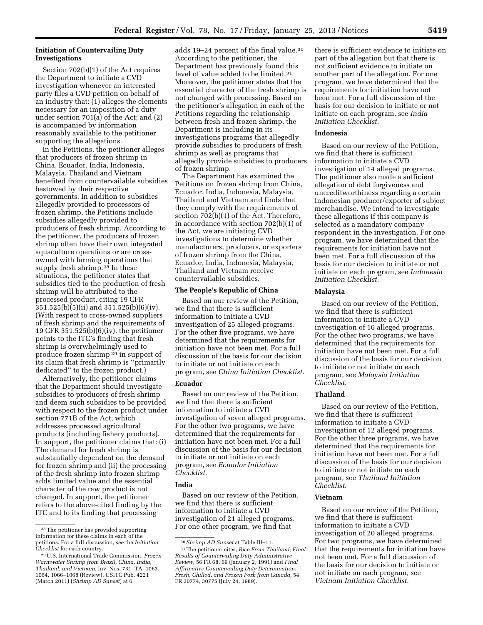### **Initiation of Countervailing Duty Investigations**

Section 702(b)(1) of the Act requires the Department to initiate a CVD investigation whenever an interested party files a CVD petition on behalf of an industry that: (1) alleges the elements necessary for an imposition of a duty under section 701(a) of the Act; and (2) is accompanied by information reasonably available to the petitioner supporting the allegations.

In the Petitions, the petitioner alleges that producers of frozen shrimp in China, Ecuador, India, Indonesia, Malaysia, Thailand and Vietnam benefited from countervailable subsidies bestowed by their respective governments. In addition to subsidies allegedly provided to processors of frozen shrimp, the Petitions include subsidies allegedly provided to producers of fresh shrimp. According to the petitioner, the producers of frozen shrimp often have their own integrated aquaculture operations or are crossowned with farming operations that supply fresh shrimp.<sup>28</sup> In these situations, the petitioner states that subsidies tied to the production of fresh shrimp will be attributed to the processed product, citing 19 CFR 351.525(b)(5)(ii) and 351.525(b)(6)(iv). (With respect to cross-owned suppliers of fresh shrimp and the requirements of 19 CFR 351.525(b)(6)(iv), the petitioner points to the ITC's finding that fresh shrimp is overwhelmingly used to produce frozen shrimp 29 in support of its claim that fresh shrimp is ''primarily dedicated'' to the frozen product.)

Alternatively, the petitioner claims that the Department should investigate subsidies to producers of fresh shrimp and deem such subsidies to be provided with respect to the frozen product under section 771B of the Act, which addresses processed agricultural products (including fishery products). In support, the petitioner claims that: (i) The demand for fresh shrimp is substantially dependent on the demand for frozen shrimp and (ii) the processing of the fresh shrimp into frozen shrimp adds limited value and the essential character of the raw product is not changed. In support, the petitioner refers to the above-cited finding by the ITC and to its finding that processing

adds 19-24 percent of the final value.<sup>30</sup> According to the petitioner, the Department has previously found this level of value added to be limited.31 Moreover, the petitioner states that the essential character of the fresh shrimp is not changed with processing. Based on the petitioner's allegation in each of the Petitions regarding the relationship between fresh and frozen shrimp, the Department is including in its investigations programs that allegedly provide subsidies to producers of fresh shrimp as well as programs that allegedly provide subsidies to producers of frozen shrimp.

The Department has examined the Petitions on frozen shrimp from China, Ecuador, India, Indonesia, Malaysia, Thailand and Vietnam and finds that they comply with the requirements of section 702(b)(1) of the Act. Therefore, in accordance with section 702(b)(1) of the Act, we are initiating CVD investigations to determine whether manufacturers, producers, or exporters of frozen shrimp from the China, Ecuador, India, Indonesia, Malaysia, Thailand and Vietnam receive countervailable subsidies.

### **The People's Republic of China**

Based on our review of the Petition, we find that there is sufficient information to initiate a CVD investigation of 25 alleged programs. For the other five programs, we have determined that the requirements for initiation have not been met. For a full discussion of the basis for our decision to initiate or not initiate on each program, see *China Initiation Checklist.* 

### **Ecuador**

Based on our review of the Petition, we find that there is sufficient information to initiate a CVD investigation of seven alleged programs. For the other two programs, we have determined that the requirements for initiation have not been met. For a full discussion of the basis for our decision to initiate or not initiate on each program, see *Ecuador Initiation Checklist.* 

# **India**

Based on our review of the Petition, we find that there is sufficient information to initiate a CVD investigation of 21 alleged programs. For one other program, we find that

there is sufficient evidence to initiate on part of the allegation but that there is not sufficient evidence to initiate on another part of the allegation. For one program, we have determined that the requirements for initiation have not been met. For a full discussion of the basis for our decision to initiate or not initiate on each program, see *India Initiation Checklist.* 

### **Indonesia**

Based on our review of the Petition, we find that there is sufficient information to initiate a CVD investigation of 14 alleged programs. The petitioner also made a sufficient allegation of debt forgiveness and uncreditworthiness regarding a certain Indonesian producer/exporter of subject merchandise. We intend to investigate these allegations if this company is selected as a mandatory company respondent in the investigation. For one program, we have determined that the requirements for initiation have not been met. For a full discussion of the basis for our decision to initiate or not initiate on each program, see *Indonesia Initiation Checklist.* 

#### **Malaysia**

Based on our review of the Petition, we find that there is sufficient information to initiate a CVD investigation of 16 alleged programs. For the other two programs, we have determined that the requirements for initiation have not been met. For a full discussion of the basis for our decision to initiate or not initiate on each program, see *Malaysia Initiation Checklist.* 

# **Thailand**

Based on our review of the Petition, we find that there is sufficient information to initiate a CVD investigation of 12 alleged programs. For the other three programs, we have determined that the requirements for initiation have not been met. For a full discussion of the basis for our decision to initiate or not initiate on each program, see *Thailand Initiation Checklist.* 

### **Vietnam**

Based on our review of the Petition, we find that there is sufficient information to initiate a CVD investigation of 20 alleged programs. For two programs, we have determined that the requirements for initiation have not been met. For a full discussion of the basis for our decision to initiate or not initiate on each program, see *Vietnam Initiation Checklist.* 

<sup>28</sup>The petitioner has provided supporting information for these claims in each of the petitions. For a full discussion, *see* the *Initiation Checklist* for each country.

<sup>29</sup>U.S. International Trade Commission, *Frozen Warmwater Shrimp from Brazil, China, India, Thailand, and Vietnam,* Inv. Nos. 731–TA–1063, 1064, 1066–1068 (Review), USITC Pub. 4221 (March 2011) (*Shrimp AD Sunset*) at 6.

<sup>30</sup>*Shrimp AD Sunset* at Table III–11.

<sup>31</sup>The petitioner cites, *Rice From Thailand; Final Results of Countervailing Duty Administrative Review,* 56 FR 68, 69 (January 2, 1991) and *Final Affirmative Countervailing Duty Determination: Fresh, Chilled, and Frozen Pork from Canada,* 54 FR 30774, 30775 (July 24, 1989).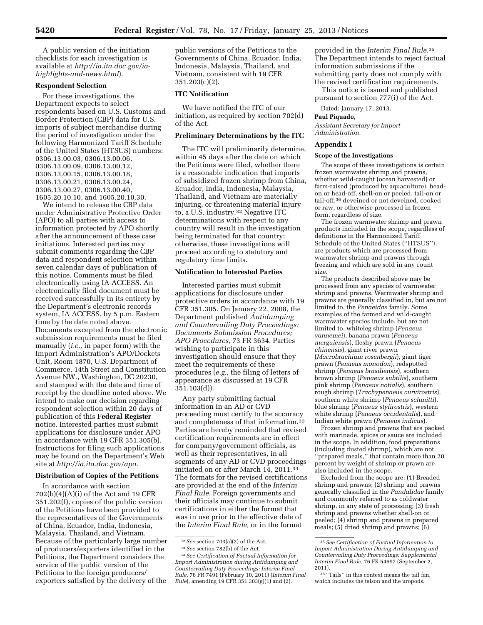A public version of the initiation checklists for each investigation is available at *[http://ia.ita.doc.gov/ia](http://ia.ita.doc.gov/ia-highlights-and-news.html)[highlights-and-news.html](http://ia.ita.doc.gov/ia-highlights-and-news.html)*).

### **Respondent Selection**

For these investigations, the Department expects to select respondents based on U.S. Customs and Border Protection (CBP) data for U.S. imports of subject merchandise during the period of investigation under the following Harmonized Tariff Schedule of the United States (HTSUS) numbers: 0306.13.00.03, 0306.13.00.06, 0306.13.00.09, 0306.13.00.12, 0306.13.00.15, 0306.13.00.18, 0306.13.00.21, 0306.13.00.24, 0306.13.00.27, 0306.13.00.40, 1605.20.10.10, and 1605.20.10.30.

We intend to release the CBP data under Administrative Protective Order (APO) to all parties with access to information protected by APO shortly after the announcement of these case initiations. Interested parties may submit comments regarding the CBP data and respondent selection within seven calendar days of publication of this notice. Comments must be filed electronically using IA ACCESS. An electronically filed document must be received successfully in its entirety by the Department's electronic records system, IA ACCESS, by 5 p.m. Eastern time by the date noted above. Documents excepted from the electronic submission requirements must be filed manually (*i.e.,* in paper form) with the Import Administration's APO/Dockets Unit, Room 1870, U.S. Department of Commerce, 14th Street and Constitution Avenue NW., Washington, DC 20230, and stamped with the date and time of receipt by the deadline noted above. We intend to make our decision regarding respondent selection within 20 days of publication of this **Federal Register**  notice. Interested parties must submit applications for disclosure under APO in accordance with 19 CFR 351.305(b). Instructions for filing such applications may be found on the Department's Web site at *[http://ia.ita.doc.gov/apo.](http://ia.ita.doc.gov/apo)* 

# **Distribution of Copies of the Petitions**

In accordance with section  $702(b)(4)(A)(i)$  of the Act and 19 CFR 351.202(f), copies of the public version of the Petitions have been provided to the representatives of the Governments of China, Ecuador, India, Indonesia, Malaysia, Thailand, and Vietnam. Because of the particularly large number of producers/exporters identified in the Petitions, the Department considers the service of the public version of the Petitions to the foreign producers/ exporters satisfied by the delivery of the

public versions of the Petitions to the Governments of China, Ecuador, India, Indonesia, Malaysia, Thailand, and Vietnam, consistent with 19 CFR 351.203(c)(2).

#### **ITC Notification**

We have notified the ITC of our initiation, as required by section 702(d) of the Act.

#### **Preliminary Determinations by the ITC**

The ITC will preliminarily determine, within 45 days after the date on which the Petitions were filed, whether there is a reasonable indication that imports of subsidized frozen shrimp from China, Ecuador, India, Indonesia, Malaysia, Thailand, and Vietnam are materially injuring, or threatening material injury to, a U.S. industry.32 Negative ITC determinations with respect to any country will result in the investigation being terminated for that country; otherwise, these investigations will proceed according to statutory and regulatory time limits.

#### **Notification to Interested Parties**

Interested parties must submit applications for disclosure under protective orders in accordance with 19 CFR 351.305. On January 22, 2008, the Department published *Antidumping and Countervailing Duty Proceedings: Documents Submission Procedures; APO Procedures,* 73 FR 3634. Parties wishing to participate in this investigation should ensure that they meet the requirements of these procedures (*e.g.,* the filing of letters of appearance as discussed at 19 CFR 351.103(d)).

Any party submitting factual information in an AD or CVD proceeding must certify to the accuracy and completeness of that information.33 Parties are hereby reminded that revised certification requirements are in effect for company/government officials, as well as their representatives, in all segments of any AD or CVD proceedings initiated on or after March 14, 2011.34 The formats for the revised certifications are provided at the end of the *Interim Final Rule.* Foreign governments and their officials may continue to submit certifications in either the format that was in use prior to the effective date of the *Interim Final Rule,* or in the format

34*See Certification of Factual Information for Import Administration during Antidumping and Countervailing Duty Proceedings: Interim Final Rule,* 76 FR 7491 (February 10, 2011) (*Interim Final Rule*), amending 19 CFR 351.303(g)(1) and (2).

provided in the *Interim Final Rule.*35 The Department intends to reject factual information submissions if the submitting party does not comply with the revised certification requirements.

This notice is issued and published pursuant to section 777(i) of the Act.

Dated: January 17, 2013.

# **Paul Piquado,**

*Assistant Secretary for Import Administration.* 

# **Appendix I**

#### **Scope of the Investigations**

The scope of these investigations is certain frozen warmwater shrimp and prawns, whether wild-caught (ocean harvested) or farm-raised (produced by aquaculture), headon or head-off, shell-on or peeled, tail-on or tail-off,36 deveined or not deveined, cooked or raw, or otherwise processed in frozen form, regardless of size.

The frozen warmwater shrimp and prawn products included in the scope, regardless of definitions in the Harmonized Tariff Schedule of the United States (''HTSUS''), are products which are processed from warmwater shrimp and prawns through freezing and which are sold in any count size.

The products described above may be processed from any species of warmwater shrimp and prawns. Warmwater shrimp and prawns are generally classified in, but are not limited to, the *Penaeidae* family. Some examples of the farmed and wild-caught warmwater species include, but are not limited to, whiteleg shrimp (*Penaeus vannemei*), banana prawn (*Penaeus merguiensis*), fleshy prawn (*Penaeus chinensis*), giant river prawn (*Macrobrachium rosenbergii*), giant tiger prawn (*Penaeus monodon*), redspotted shrimp (*Penaeus brasiliensis*), southern brown shrimp (*Penaeus subtilis*), southern pink shrimp (*Penaeus notialis*), southern rough shrimp (*Trachypenaeus curvirostris*), southern white shrimp (*Penaeus schmitti*), blue shrimp (*Penaeus stylirostris*), western white shrimp (*Penaeus occidentalis*), and Indian white prawn (*Penaeus indicus*).

Frozen shrimp and prawns that are packed with marinade, spices or sauce are included in the scope. In addition, food preparations (including dusted shrimp), which are not ''prepared meals,'' that contain more than 20 percent by weight of shrimp or prawn are also included in the scope.

Excluded from the scope are: (1) Breaded shrimp and prawns; (2) shrimp and prawns generally classified in the *Pandalidae* family and commonly referred to as coldwater shrimp, in any state of processing; (3) fresh shrimp and prawns whether shell-on or peeled; (4) shrimp and prawns in prepared meals; (5) dried shrimp and prawns; (6)

<sup>32</sup>*See* section 703(a)(2) of the Act.

<sup>33</sup>*See* section 782(b) of the Act.

<sup>35</sup>*See Certification of Factual Information to Import Administration During Antidumping and Countervailing Duty Proceedings: Supplemental Interim Final Rule,* 76 FR 54697 (September 2, 2011).

<sup>36</sup> ''Tails'' in this context means the tail fan, which includes the telson and the uropods.